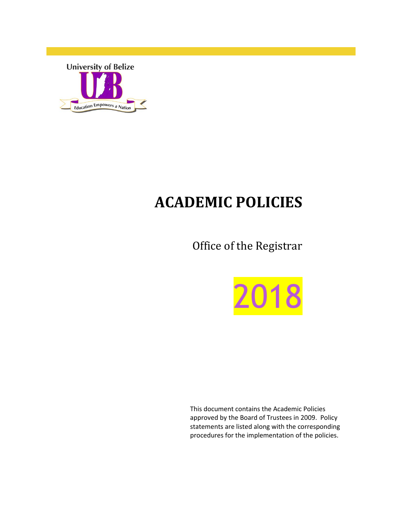

## **ACADEMIC POLICIES**

Office of the Registrar



This document contains the Academic Policies approved by the Board of Trustees in 2009. Policy statements are listed along with the corresponding procedures for the implementation of the policies.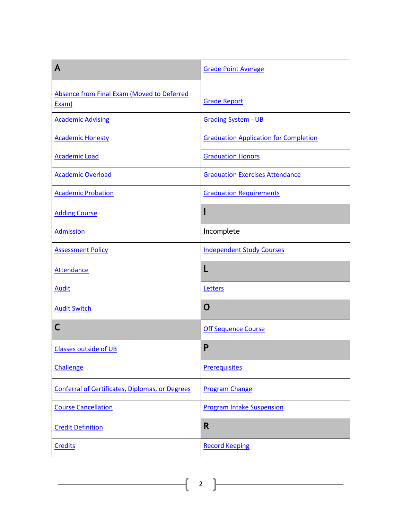| A                                                      | <b>Grade Point Average</b>                   |
|--------------------------------------------------------|----------------------------------------------|
| Absence from Final Exam (Moved to Deferred<br>Exam)    | <b>Grade Report</b>                          |
| <b>Academic Advising</b>                               | <b>Grading System - UB</b>                   |
| <b>Academic Honesty</b>                                | <b>Graduation Application for Completion</b> |
| <b>Academic Load</b>                                   | <b>Graduation Honors</b>                     |
| <b>Academic Overload</b>                               | <b>Graduation Exercises Attendance</b>       |
| <b>Academic Probation</b>                              | <b>Graduation Requirements</b>               |
| <b>Adding Course</b>                                   |                                              |
| <b>Admission</b>                                       | Incomplete                                   |
| <b>Assessment Policy</b>                               | <b>Independent Study Courses</b>             |
| <b>Attendance</b>                                      |                                              |
| <b>Audit</b>                                           | Letters                                      |
| <b>Audit Switch</b>                                    | $\mathbf 0$                                  |
| С                                                      | <b>Off Sequence Course</b>                   |
| <b>Classes outside of UB</b>                           | P                                            |
| Challenge                                              | <b>Prerequisites</b>                         |
| <b>Conferral of Certificates, Diplomas, or Degrees</b> | <b>Program Change</b>                        |
| <b>Course Cancellation</b>                             | <b>Program Intake Suspension</b>             |
| <b>Credit Definition</b>                               | R                                            |
| <b>Credits</b>                                         | <b>Record Keeping</b>                        |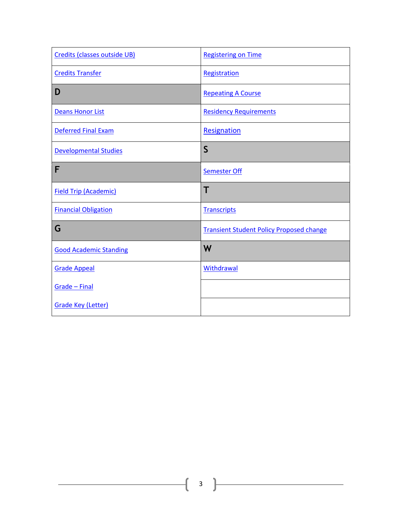| Credits (classes outside UB)  | <b>Registering on Time</b>                      |
|-------------------------------|-------------------------------------------------|
| <b>Credits Transfer</b>       | Registration                                    |
| D                             | <b>Repeating A Course</b>                       |
| <b>Deans Honor List</b>       | <b>Residency Requirements</b>                   |
| <b>Deferred Final Exam</b>    | Resignation                                     |
| <b>Developmental Studies</b>  | $\mathsf{S}$                                    |
| F                             | <b>Semester Off</b>                             |
| <b>Field Trip (Academic)</b>  | T                                               |
| <b>Financial Obligation</b>   | <b>Transcripts</b>                              |
| G                             | <b>Transient Student Policy Proposed change</b> |
| <b>Good Academic Standing</b> | W                                               |
| <b>Grade Appeal</b>           | <b>Withdrawal</b>                               |
| Grade - Final                 |                                                 |
|                               |                                                 |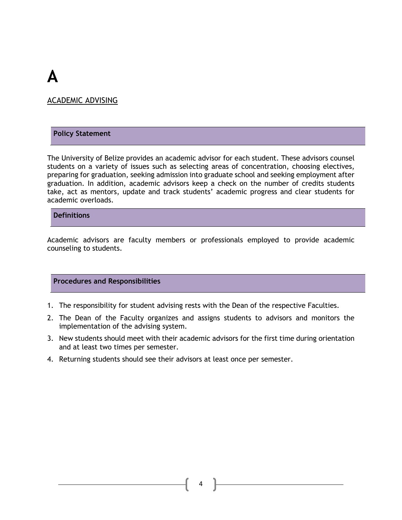## **A**

#### <span id="page-3-0"></span>ACADEMIC ADVISING

#### **Policy Statement**

The University of Belize provides an academic advisor for each student. These advisors counsel students on a variety of issues such as selecting areas of concentration, choosing electives, preparing for graduation, seeking admission into graduate school and seeking employment after graduation. In addition, academic advisors keep a check on the number of credits students take, act as mentors, update and track students' academic progress and clear students for academic overloads.

#### **Definitions**

Academic advisors are faculty members or professionals employed to provide academic counseling to students.

#### **Procedures and Responsibilities**

- 1. The responsibility for student advising rests with the Dean of the respective Faculties.
- 2. The Dean of the Faculty organizes and assigns students to advisors and monitors the implementation of the advising system.
- 3. New students should meet with their academic advisors for the first time during orientation and at least two times per semester.
- 4. Returning students should see their advisors at least once per semester.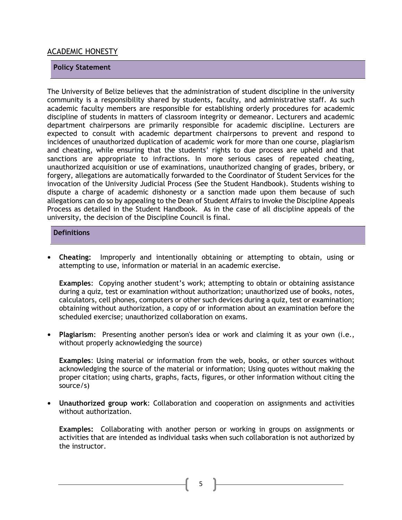#### <span id="page-4-0"></span>ACADEMIC HONESTY

#### **Policy Statement**

The University of Belize believes that the administration of student discipline in the university community is a responsibility shared by students, faculty, and administrative staff. As such academic faculty members are responsible for establishing orderly procedures for academic discipline of students in matters of classroom integrity or demeanor. Lecturers and academic department chairpersons are primarily responsible for academic discipline. Lecturers are expected to consult with academic department chairpersons to prevent and respond to incidences of unauthorized duplication of academic work for more than one course, plagiarism and cheating, while ensuring that the students' rights to due process are upheld and that sanctions are appropriate to infractions. In more serious cases of repeated cheating, unauthorized acquisition or use of examinations, unauthorized changing of grades, bribery, or forgery, allegations are automatically forwarded to the Coordinator of Student Services for the invocation of the University Judicial Process (See the Student Handbook). Students wishing to dispute a charge of academic dishonesty or a sanction made upon them because of such allegations can do so by appealing to the Dean of Student Affairs to invoke the Discipline Appeals Process as detailed in the Student Handbook. As in the case of all discipline appeals of the university, the decision of the Discipline Council is final.

#### **Definitions**

**• Cheating:** Improperly and intentionally obtaining or attempting to obtain, using or attempting to use, information or material in an academic exercise.

**Examples**: Copying another student's work; attempting to obtain or obtaining assistance during a quiz, test or examination without authorization; unauthorized use of books, notes, calculators, cell phones, computers or other such devices during a quiz, test or examination; obtaining without authorization, a copy of or information about an examination before the scheduled exercise; unauthorized collaboration on exams.

**• Plagiarism**: Presenting another person's idea or work and claiming it as your own (i.e., without properly acknowledging the source)

**Examples**: Using material or information from the web, books, or other sources without acknowledging the source of the material or information; Using quotes without making the proper citation; using charts, graphs, facts, figures, or other information without citing the source/s)

**• Unauthorized group work**: Collaboration and cooperation on assignments and activities without authorization.

**Examples:** Collaborating with another person or working in groups on assignments or activities that are intended as individual tasks when such collaboration is not authorized by the instructor.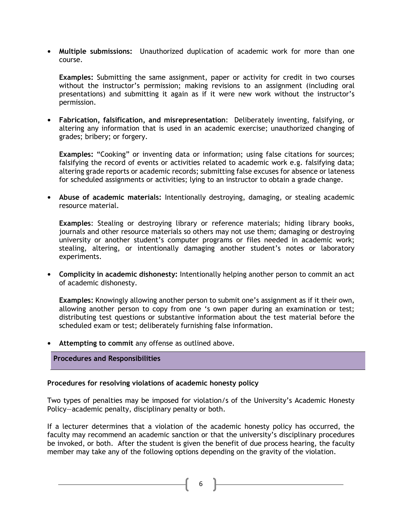**• Multiple submissions:** Unauthorized duplication of academic work for more than one course.

**Examples:** Submitting the same assignment, paper or activity for credit in two courses without the instructor's permission; making revisions to an assignment (including oral presentations) and submitting it again as if it were new work without the instructor's permission.

**• Fabrication, falsification, and misrepresentation**: Deliberately inventing, falsifying, or altering any information that is used in an academic exercise; unauthorized changing of grades; bribery; or forgery.

**Examples:** "Cooking" or inventing data or information; using false citations for sources; falsifying the record of events or activities related to academic work e.g. falsifying data; altering grade reports or academic records; submitting false excuses for absence or lateness for scheduled assignments or activities; lying to an instructor to obtain a grade change.

**• Abuse of academic materials:** Intentionally destroying, damaging, or stealing academic resource material.

**Examples**: Stealing or destroying library or reference materials; hiding library books, journals and other resource materials so others may not use them; damaging or destroying university or another student's computer programs or files needed in academic work; stealing, altering, or intentionally damaging another student's notes or laboratory experiments.

**• Complicity in academic dishonesty:** Intentionally helping another person to commit an act of academic dishonesty.

**Examples:** Knowingly allowing another person to submit one's assignment as if it their own, allowing another person to copy from one 's own paper during an examination or test; distributing test questions or substantive information about the test material before the scheduled exam or test; deliberately furnishing false information.

**• Attempting to commit** any offense as outlined above.

#### **Procedures and Responsibilities**

#### **Procedures for resolving violations of academic honesty policy**

Two types of penalties may be imposed for violation/s of the University's Academic Honesty Policy—academic penalty, disciplinary penalty or both.

If a lecturer determines that a violation of the academic honesty policy has occurred, the faculty may recommend an academic sanction or that the university's disciplinary procedures be invoked, or both. After the student is given the benefit of due process hearing, the faculty member may take any of the following options depending on the gravity of the violation.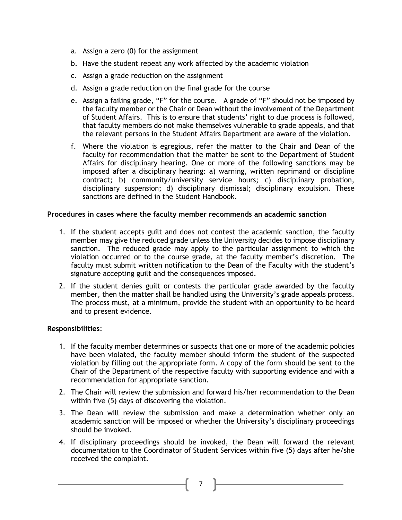- a. Assign a zero (0) for the assignment
- b. Have the student repeat any work affected by the academic violation
- c. Assign a grade reduction on the assignment
- d. Assign a grade reduction on the final grade for the course
- e. Assign a failing grade, "F" for the course. A grade of "F" should not be imposed by the faculty member or the Chair or Dean without the involvement of the Department of Student Affairs. This is to ensure that students' right to due process is followed, that faculty members do not make themselves vulnerable to grade appeals, and that the relevant persons in the Student Affairs Department are aware of the violation.
- f. Where the violation is egregious, refer the matter to the Chair and Dean of the faculty for recommendation that the matter be sent to the Department of Student Affairs for disciplinary hearing. One or more of the following sanctions may be imposed after a disciplinary hearing: a) warning, written reprimand or discipline contract; b) community/university service hours; c) disciplinary probation, disciplinary suspension; d) disciplinary dismissal; disciplinary expulsion. These sanctions are defined in the Student Handbook.

#### **Procedures in cases where the faculty member recommends an academic sanction**

- 1. If the student accepts guilt and does not contest the academic sanction, the faculty member may give the reduced grade unless the University decides to impose disciplinary sanction. The reduced grade may apply to the particular assignment to which the violation occurred or to the course grade, at the faculty member's discretion. The faculty must submit written notification to the Dean of the Faculty with the student's signature accepting guilt and the consequences imposed.
- 2. If the student denies guilt or contests the particular grade awarded by the faculty member, then the matter shall be handled using the University's grade appeals process. The process must, at a minimum, provide the student with an opportunity to be heard and to present evidence.

#### **Responsibilities**:

- 1. If the faculty member determines or suspects that one or more of the academic policies have been violated, the faculty member should inform the student of the suspected violation by filling out the appropriate form. A copy of the form should be sent to the Chair of the Department of the respective faculty with supporting evidence and with a recommendation for appropriate sanction.
- 2. The Chair will review the submission and forward his/her recommendation to the Dean within five (5) days of discovering the violation.
- 3. The Dean will review the submission and make a determination whether only an academic sanction will be imposed or whether the University's disciplinary proceedings should be invoked.
- 4. If disciplinary proceedings should be invoked, the Dean will forward the relevant documentation to the Coordinator of Student Services within five (5) days after he/she received the complaint.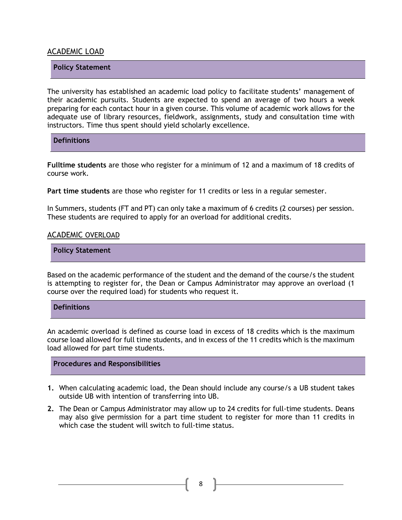#### <span id="page-7-0"></span>ACADEMIC LOAD

#### **Policy Statement**

The university has established an academic load policy to facilitate students' management of their academic pursuits. Students are expected to spend an average of two hours a week preparing for each contact hour in a given course. This volume of academic work allows for the adequate use of library resources, fieldwork, assignments, study and consultation time with instructors. Time thus spent should yield scholarly excellence.

**Definitions**

**Fulltime students** are those who register for a minimum of 12 and a maximum of 18 credits of course work.

**Part time students** are those who register for 11 credits or less in a regular semester.

In Summers, students (FT and PT) can only take a maximum of 6 credits (2 courses) per session. These students are required to apply for an overload for additional credits.

#### <span id="page-7-1"></span>ACADEMIC OVERLOAD

**Policy Statement**

Based on the academic performance of the student and the demand of the course/s the student is attempting to register for, the Dean or Campus Administrator may approve an overload (1 course over the required load) for students who request it.

#### **Definitions**

An academic overload is defined as course load in excess of 18 credits which is the maximum course load allowed for full time students, and in excess of the 11 credits which is the maximum load allowed for part time students.

#### **Procedures and Responsibilities**

- **1.** When calculating academic load, the Dean should include any course/s a UB student takes outside UB with intention of transferring into UB.
- **2.** The Dean or Campus Administrator may allow up to 24 credits for full-time students. Deans may also give permission for a part time student to register for more than 11 credits in which case the student will switch to full-time status.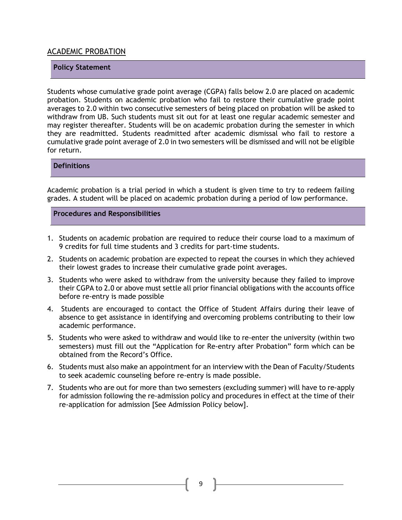#### <span id="page-8-0"></span>ACADEMIC PROBATION

#### **Policy Statement**

Students whose cumulative grade point average (CGPA) falls below 2.0 are placed on academic probation. Students on academic probation who fail to restore their cumulative grade point averages to 2.0 within two consecutive semesters of being placed on probation will be asked to withdraw from UB. Such students must sit out for at least one regular academic semester and may register thereafter. Students will be on academic probation during the semester in which they are readmitted. Students readmitted after academic dismissal who fail to restore a cumulative grade point average of 2.0 in two semesters will be dismissed and will not be eligible for return.

#### **Definitions**

Academic probation is a trial period in which a student is given time to try to redeem failing grades. A student will be placed on academic probation during a period of low performance.

**Procedures and Responsibilities**

- 1. Students on academic probation are required to reduce their course load to a maximum of 9 credits for full time students and 3 credits for part-time students.
- 2. Students on academic probation are expected to repeat the courses in which they achieved their lowest grades to increase their cumulative grade point averages.
- 3. Students who were asked to withdraw from the university because they failed to improve their CGPA to 2.0 or above must settle all prior financial obligations with the accounts office before re-entry is made possible
- 4. Students are encouraged to contact the Office of Student Affairs during their leave of absence to get assistance in identifying and overcoming problems contributing to their low academic performance.
- 5. Students who were asked to withdraw and would like to re-enter the university (within two semesters) must fill out the "Application for Re-entry after Probation" form which can be obtained from the Record's Office.
- 6. Students must also make an appointment for an interview with the Dean of Faculty/Students to seek academic counseling before re-entry is made possible.
- 7. Students who are out for more than two semesters (excluding summer) will have to re-apply for admission following the re-admission policy and procedures in effect at the time of their re-application for admission [See Admission Policy below].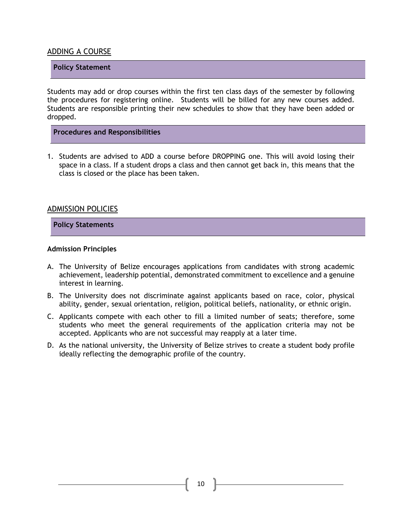#### <span id="page-9-0"></span>ADDING A COURSE

#### **Policy Statement**

Students may add or drop courses within the first ten class days of the semester by following the procedures for registering online. Students will be billed for any new courses added. Students are responsible printing their new schedules to show that they have been added or dropped.

#### **Procedures and Responsibilities**

1. Students are advised to ADD a course before DROPPING one. This will avoid losing their space in a class. If a student drops a class and then cannot get back in, this means that the class is closed or the place has been taken.

#### <span id="page-9-1"></span>ADMISSION POLICIES

#### **Policy Statements**

#### **Admission Principles**

- A. The University of Belize encourages applications from candidates with strong academic achievement, leadership potential, demonstrated commitment to excellence and a genuine interest in learning.
- B. The University does not discriminate against applicants based on race, color, physical ability, gender, sexual orientation, religion, political beliefs, nationality, or ethnic origin.
- C. Applicants compete with each other to fill a limited number of seats; therefore, some students who meet the general requirements of the application criteria may not be accepted. Applicants who are not successful may reapply at a later time.
- D. As the national university, the University of Belize strives to create a student body profile ideally reflecting the demographic profile of the country.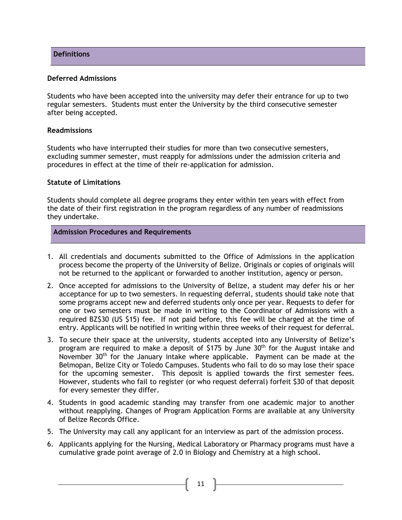#### **Deferred Admissions**

Students who have been accepted into the university may defer their entrance for up to two regular semesters. Students must enter the University by the third consecutive semester after being accepted.

#### **Readmissions**

Students who have interrupted their studies for more than two consecutive semesters, excluding summer semester, must reapply for admissions under the admission criteria and procedures in effect at the time of their re-application for admission.

#### **Statute of Limitations**

Students should complete all degree programs they enter within ten years with effect from the date of their first registration in the program regardless of any number of readmissions they undertake.

#### **Admission Procedures and Requirements**

- 1. All credentials and documents submitted to the Office of Admissions in the application process become the property of the University of Belize. Originals or copies of originals will not be returned to the applicant or forwarded to another institution, agency or person.
- 2. Once accepted for admissions to the University of Belize, a student may defer his or her acceptance for up to two semesters. In requesting deferral, students should take note that some programs accept new and deferred students only once per year. Requests to defer for one or two semesters must be made in writing to the Coordinator of Admissions with a required BZ\$30 (US \$15) fee. If not paid before, this fee will be charged at the time of entry. Applicants will be notified in writing within three weeks of their request for deferral.
- 3. To secure their space at the university, students accepted into any University of Belize's program are required to make a deposit of \$175 by June 30<sup>th</sup> for the August intake and November  $30<sup>th</sup>$  for the January intake where applicable. Payment can be made at the Belmopan, Belize City or Toledo Campuses. Students who fail to do so may lose their space for the upcoming semester. This deposit is applied towards the first semester fees. However, students who fail to register (or who request deferral) forfeit \$30 of that deposit for every semester they differ.
- 4. Students in good academic standing may transfer from one academic major to another without reapplying. Changes of Program Application Forms are available at any University of Belize Records Office.
- 5. The University may call any applicant for an interview as part of the admission process.
- 6. Applicants applying for the Nursing, Medical Laboratory or Pharmacy programs must have a cumulative grade point average of 2.0 in Biology and Chemistry at a high school.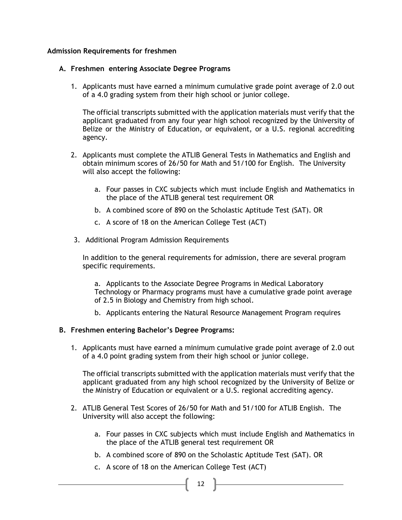#### **Admission Requirements for freshmen**

#### **A. Freshmen entering Associate Degree Programs**

1. Applicants must have earned a minimum cumulative grade point average of 2.0 out of a 4.0 grading system from their high school or junior college.

The official transcripts submitted with the application materials must verify that the applicant graduated from any four year high school recognized by the University of Belize or the Ministry of Education, or equivalent, or a U.S. regional accrediting agency.

- 2. Applicants must complete the ATLIB General Tests in Mathematics and English and obtain minimum scores of 26/50 for Math and 51/100 for English. The University will also accept the following:
	- a. Four passes in CXC subjects which must include English and Mathematics in the place of the ATLIB general test requirement OR
	- b. A combined score of 890 on the Scholastic Aptitude Test (SAT). OR
	- c. A score of 18 on the American College Test (ACT)
- 3. Additional Program Admission Requirements

In addition to the general requirements for admission, there are several program specific requirements.

a. Applicants to the Associate Degree Programs in Medical Laboratory Technology or Pharmacy programs must have a cumulative grade point average of 2.5 in Biology and Chemistry from high school.

b. Applicants entering the Natural Resource Management Program requires

#### **B. Freshmen entering Bachelor's Degree Programs:**

1. Applicants must have earned a minimum cumulative grade point average of 2.0 out of a 4.0 point grading system from their high school or junior college.

The official transcripts submitted with the application materials must verify that the applicant graduated from any high school recognized by the University of Belize or the Ministry of Education or equivalent or a U.S. regional accrediting agency.

- 2. ATLIB General Test Scores of 26/50 for Math and 51/100 for ATLIB English. The University will also accept the following:
	- a. Four passes in CXC subjects which must include English and Mathematics in the place of the ATLIB general test requirement OR
	- b. A combined score of 890 on the Scholastic Aptitude Test (SAT). OR
	- c. A score of 18 on the American College Test (ACT)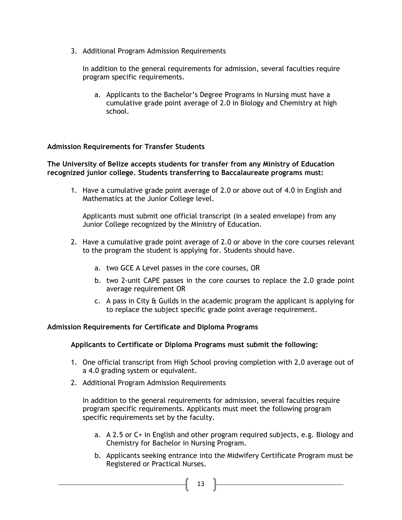3. Additional Program Admission Requirements

In addition to the general requirements for admission, several faculties require program specific requirements.

a. Applicants to the Bachelor's Degree Programs in Nursing must have a cumulative grade point average of 2.0 in Biology and Chemistry at high school.

#### **Admission Requirements for Transfer Students**

#### **The University of Belize accepts students for transfer from any Ministry of Education recognized junior college. Students transferring to Baccalaureate programs must:**

1. Have a cumulative grade point average of 2.0 or above out of 4.0 in English and Mathematics at the Junior College level.

Applicants must submit one official transcript (in a sealed envelope) from any Junior College recognized by the Ministry of Education.

- 2. Have a cumulative grade point average of 2.0 or above in the core courses relevant to the program the student is applying for. Students should have.
	- a. two GCE A Level passes in the core courses, OR
	- b. two 2-unit CAPE passes in the core courses to replace the 2.0 grade point average requirement OR
	- c. A pass in City & Guilds in the academic program the applicant is applying for to replace the subject specific grade point average requirement.

#### **Admission Requirements for Certificate and Diploma Programs**

#### **Applicants to Certificate or Diploma Programs must submit the following:**

- 1. One official transcript from High School proving completion with 2.0 average out of a 4.0 grading system or equivalent.
- 2. Additional Program Admission Requirements

In addition to the general requirements for admission, several faculties require program specific requirements. Applicants must meet the following program specific requirements set by the faculty.

- a. A 2.5 or C+ in English and other program required subjects, e.g. Biology and Chemistry for Bachelor in Nursing Program.
- b. Applicants seeking entrance into the Midwifery Certificate Program must be Registered or Practical Nurses.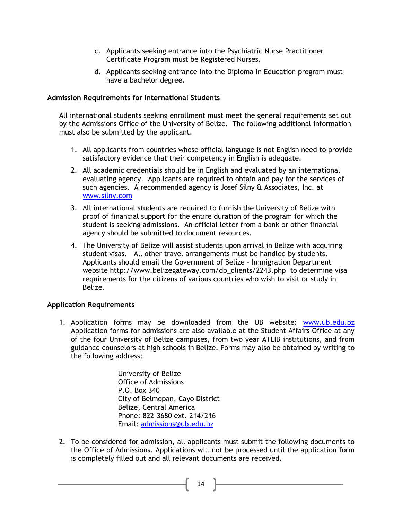- c. Applicants seeking entrance into the Psychiatric Nurse Practitioner Certificate Program must be Registered Nurses.
- d. Applicants seeking entrance into the Diploma in Education program must have a bachelor degree.

#### **Admission Requirements for International Students**

All international students seeking enrollment must meet the general requirements set out by the Admissions Office of the University of Belize. The following additional information must also be submitted by the applicant.

- 1. All applicants from countries whose official language is not English need to provide satisfactory evidence that their competency in English is adequate.
- 2. All academic credentials should be in English and evaluated by an international evaluating agency. Applicants are required to obtain and pay for the services of such agencies. A recommended agency is Josef Silny & Associates, Inc. at [www.silny.com](http://www.silny.com/)
- 3. All international students are required to furnish the University of Belize with proof of financial support for the entire duration of the program for which the student is seeking admissions. An official letter from a bank or other financial agency should be submitted to document resources.
- 4. The University of Belize will assist students upon arrival in Belize with acquiring student visas. All other travel arrangements must be handled by students. Applicants should email the Government of Belize – Immigration Department website http://www.belizegateway.com/db\_clients/2243.php to determine visa requirements for the citizens of various countries who wish to visit or study in Belize.

#### **Application Requirements**

1. Application forms may be downloaded from the UB website: [www.ub.edu.bz](http://www.ub.edu.bz/)  Application forms for admissions are also available at the Student Affairs Office at any of the four University of Belize campuses, from two year ATLIB institutions, and from guidance counselors at high schools in Belize. Forms may also be obtained by writing to the following address:

> University of Belize Office of Admissions P.O. Box 340 City of Belmopan, Cayo District Belize, Central America Phone: 822-3680 ext. 214/216 Email: [admissions@ub.edu.bz](mailto:admissions@ub.edu.bz)

2. To be considered for admission, all applicants must submit the following documents to the Office of Admissions. Applications will not be processed until the application form is completely filled out and all relevant documents are received.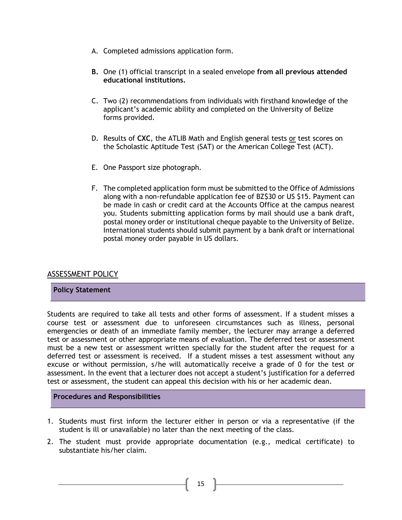- A. Completed admissions application form.
- **B.** One (1) official transcript in a sealed envelope **from all previous attended educational institutions.**
- C. Two (2) recommendations from individuals with firsthand knowledge of the applicant's academic ability and completed on the University of Belize forms provided.
- D. Results of **CXC**, the ATLIB Math and English general tests or test scores on the Scholastic Aptitude Test (SAT) or the American College Test (ACT).
- E. One Passport size photograph.
- F. The completed application form must be submitted to the Office of Admissions along with a non-refundable application fee of BZ\$30 or US \$15. Payment can be made in cash or credit card at the Accounts Office at the campus nearest you. Students submitting application forms by mail should use a bank draft, postal money order or institutional cheque payable to the University of Belize. International students should submit payment by a bank draft or international postal money order payable in US dollars.

#### ASSESSMENT POLICY

#### **Policy Statement**

Students are required to take all tests and other forms of assessment. If a student misses a course test or assessment due to unforeseen circumstances such as illness, personal emergencies or death of an immediate family member, the lecturer may arrange a deferred test or assessment or other appropriate means of evaluation. The deferred test or assessment must be a new test or assessment written specially for the student after the request for a deferred test or assessment is received. If a student misses a test assessment without any excuse or without permission, s/he will automatically receive a grade of 0 for the test or assessment. In the event that a lecturer does not accept a student's justification for a deferred test or assessment, the student can appeal this decision with his or her academic dean.

- 1. Students must first inform the lecturer either in person or via a representative (if the student is ill or unavailable) no later than the next meeting of the class.
- 2. The student must provide appropriate documentation (e.g., medical certificate) to substantiate his/her claim.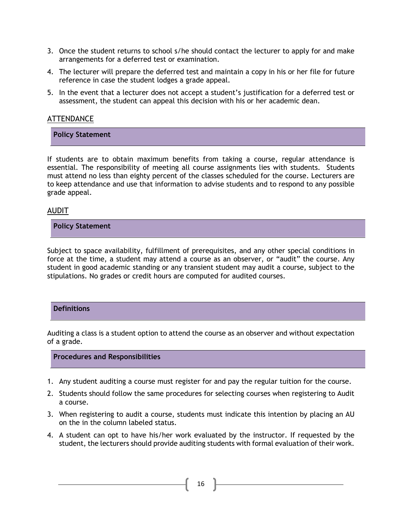- 3. Once the student returns to school s/he should contact the lecturer to apply for and make arrangements for a deferred test or examination.
- 4. The lecturer will prepare the deferred test and maintain a copy in his or her file for future reference in case the student lodges a grade appeal.
- 5. In the event that a lecturer does not accept a student's justification for a deferred test or assessment, the student can appeal this decision with his or her academic dean.

#### <span id="page-15-0"></span>**ATTENDANCE**

**Policy Statement**

If students are to obtain maximum benefits from taking a course, regular attendance is essential. The responsibility of meeting all course assignments lies with students. Students must attend no less than eighty percent of the classes scheduled for the course. Lecturers are to keep attendance and use that information to advise students and to respond to any possible grade appeal.

#### <span id="page-15-1"></span>AUDIT

**Policy Statement**

Subject to space availability, fulfillment of prerequisites, and any other special conditions in force at the time, a student may attend a course as an observer, or "audit" the course. Any student in good academic standing or any transient student may audit a course, subject to the stipulations. No grades or credit hours are computed for audited courses.

#### **Definitions**

Auditing a class is a student option to attend the course as an observer and without expectation of a grade.

- 1. Any student auditing a course must register for and pay the regular tuition for the course.
- 2. Students should follow the same procedures for selecting courses when registering to Audit a course.
- 3. When registering to audit a course, students must indicate this intention by placing an AU on the in the column labeled status.
- 4. A student can opt to have his/her work evaluated by the instructor. If requested by the student, the lecturers should provide auditing students with formal evaluation of their work.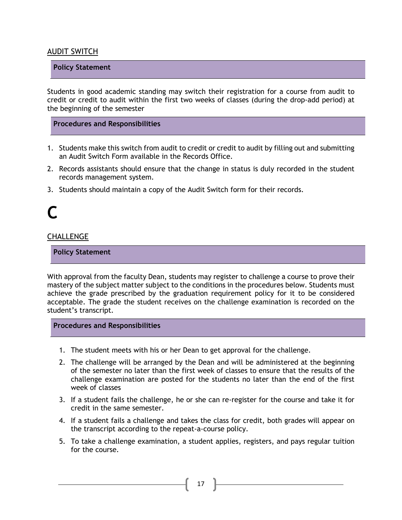#### <span id="page-16-0"></span>AUDIT SWITCH

#### **Policy Statement**

Students in good academic standing may switch their registration for a course from audit to credit or credit to audit within the first two weeks of classes (during the drop-add period) at the beginning of the semester

#### **Procedures and Responsibilities**

- 1. Students make this switch from audit to credit or credit to audit by filling out and submitting an Audit Switch Form available in the Records Office.
- 2. Records assistants should ensure that the change in status is duly recorded in the student records management system.
- 3. Students should maintain a copy of the Audit Switch form for their records.

### **C**

#### <span id="page-16-1"></span>**CHALLENGE**

**Policy Statement**

With approval from the faculty Dean, students may register to challenge a course to prove their mastery of the subject matter subject to the conditions in the procedures below. Students must achieve the grade prescribed by the graduation requirement policy for it to be considered acceptable. The grade the student receives on the challenge examination is recorded on the student's transcript.

- 1. The student meets with his or her Dean to get approval for the challenge.
- 2. The challenge will be arranged by the Dean and will be administered at the beginning of the semester no later than the first week of classes to ensure that the results of the challenge examination are posted for the students no later than the end of the first week of classes
- 3. If a student fails the challenge, he or she can re-register for the course and take it for credit in the same semester.
- 4. If a student fails a challenge and takes the class for credit, both grades will appear on the transcript according to the repeat-a-course policy.
- 5. To take a challenge examination, a student applies, registers, and pays regular tuition for the course.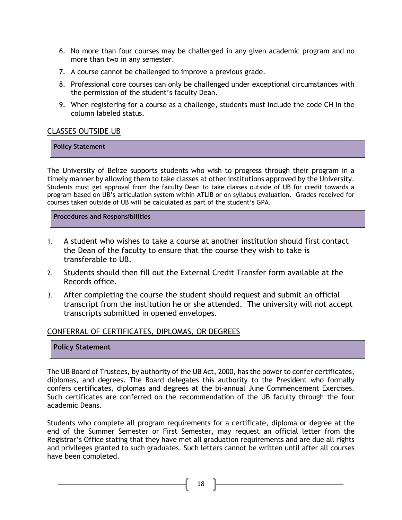- 6. No more than four courses may be challenged in any given academic program and no more than two in any semester.
- 7. A course cannot be challenged to improve a previous grade.
- 8. Professional core courses can only be challenged under exceptional circumstances with the permission of the student's faculty Dean.
- 9. When registering for a course as a challenge, students must include the code CH in the column labeled status.

#### <span id="page-17-0"></span>CLASSES OUTSIDE UB

**Policy Statement**

The University of Belize supports students who wish to progress through their program in a timely manner by allowing them to take classes at other institutions approved by the University. Students must get approval from the faculty Dean to take classes outside of UB for credit towards a program based on UB's articulation system within ATLIB or on syllabus evaluation. Grades received for courses taken outside of UB will be calculated as part of the student's GPA.

#### **Procedures and Responsibilities**

- 1. A student who wishes to take a course at another institution should first contact the Dean of the faculty to ensure that the course they wish to take is transferable to UB.
- 2. Students should then fill out the External Credit Transfer form available at the Records office.
- 3. After completing the course the student should request and submit an official transcript from the institution he or she attended. The university will not accept transcripts submitted in opened envelopes.

#### <span id="page-17-1"></span>CONFERRAL OF CERTIFICATES, DIPLOMAS, OR DEGREES

#### **Policy Statement**

The UB Board of Trustees, by authority of the UB Act, 2000, has the power to confer certificates, diplomas, and degrees. The Board delegates this authority to the President who formally confers certificates, diplomas and degrees at the bi-annual June Commencement Exercises. Such certificates are conferred on the recommendation of the UB faculty through the four academic Deans.

Students who complete all program requirements for a certificate, diploma or degree at the end of the Summer Semester or First Semester, may request an official letter from the Registrar's Office stating that they have met all graduation requirements and are due all rights and privileges granted to such graduates. Such letters cannot be written until after all courses have been completed.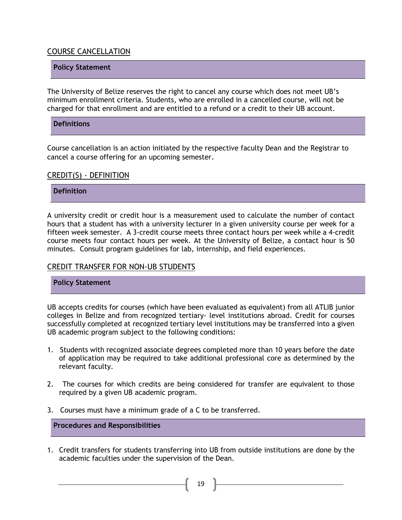#### <span id="page-18-0"></span>COURSE CANCELLATION

#### **Policy Statement**

The University of Belize reserves the right to cancel any course which does not meet UB's minimum enrollment criteria. Students, who are enrolled in a cancelled course, will not be charged for that enrollment and are entitled to a refund or a credit to their UB account.

#### **Definitions**

Course cancellation is an action initiated by the respective faculty Dean and the Registrar to cancel a course offering for an upcoming semester.

#### <span id="page-18-1"></span>CREDIT(S) - DEFINITION

#### **Definition**

A university credit or credit hour is a measurement used to calculate the number of contact hours that a student has with a university lecturer in a given university course per week for a fifteen week semester. A 3-credit course meets three contact hours per week while a 4-credit course meets four contact hours per week. At the University of Belize, a contact hour is 50 minutes. Consult program guidelines for lab, internship, and field experiences.

#### <span id="page-18-2"></span>CREDIT TRANSFER FOR NON-UB STUDENTS

#### **Policy Statement**

UB accepts credits for courses (which have been evaluated as equivalent) from all ATLIB junior colleges in Belize and from recognized tertiary- level institutions abroad. Credit for courses successfully completed at recognized tertiary level institutions may be transferred into a given UB academic program subject to the following conditions:

- 1. Students with recognized associate degrees completed more than 10 years before the date of application may be required to take additional professional core as determined by the relevant faculty.
- 2. The courses for which credits are being considered for transfer are equivalent to those required by a given UB academic program.
- 3. Courses must have a minimum grade of a C to be transferred.

**Procedures and Responsibilities**

1. Credit transfers for students transferring into UB from outside institutions are done by the academic faculties under the supervision of the Dean.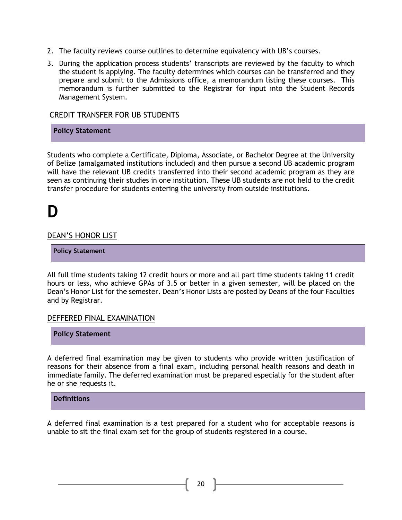- 2. The faculty reviews course outlines to determine equivalency with UB's courses.
- 3. During the application process students' transcripts are reviewed by the faculty to which the student is applying. The faculty determines which courses can be transferred and they prepare and submit to the Admissions office, a memorandum listing these courses. This memorandum is further submitted to the Registrar for input into the Student Records Management System.

#### CREDIT TRANSFER FOR UB STUDENTS

#### **Policy Statement**

Students who complete a Certificate, Diploma, Associate, or Bachelor Degree at the University of Belize (amalgamated institutions included) and then pursue a second UB academic program will have the relevant UB credits transferred into their second academic program as they are seen as continuing their studies in one institution. These UB students are not held to the credit transfer procedure for students entering the university from outside institutions.

### **D**

#### <span id="page-19-1"></span>DEAN'S HONOR LIST

**Policy Statement**

All full time students taking 12 credit hours or more and all part time students taking 11 credit hours or less, who achieve GPAs of 3.5 or better in a given semester, will be placed on the Dean's Honor List for the semester. Dean's Honor Lists are posted by Deans of the four Faculties and by Registrar.

#### <span id="page-19-0"></span>DEFFERED FINAL EXAMINATION

**Policy Statement**

A deferred final examination may be given to students who provide written justification of reasons for their absence from a final exam, including personal health reasons and death in immediate family. The deferred examination must be prepared especially for the student after he or she requests it.

#### **Definitions**

A deferred final examination is a test prepared for a student who for acceptable reasons is unable to sit the final exam set for the group of students registered in a course.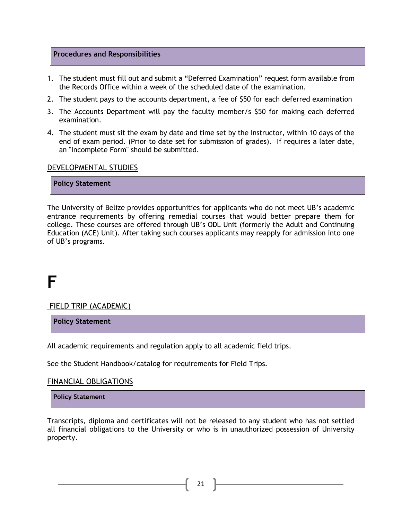#### **Procedures and Responsibilities**

- 1. The student must fill out and submit a "Deferred Examination" request form available from the Records Office within a week of the scheduled date of the examination.
- 2. The student pays to the accounts department, a fee of \$50 for each deferred examination
- 3. The Accounts Department will pay the faculty member/s \$50 for making each deferred examination.
- 4. The student must sit the exam by date and time set by the instructor, within 10 days of the end of exam period. (Prior to date set for submission of grades). If requires a later date, an "Incomplete Form" should be submitted.

#### <span id="page-20-0"></span>DEVELOPMENTAL STUDIES

#### **Policy Statement**

The University of Belize provides opportunities for applicants who do not meet UB's academic entrance requirements by offering remedial courses that would better prepare them for college. These courses are offered through UB's ODL Unit (formerly the Adult and Continuing Education (ACE) Unit). After taking such courses applicants may reapply for admission into one of UB's programs.

### **F**

<span id="page-20-1"></span>FIELD TRIP (ACADEMIC)

**Policy Statement**

All academic requirements and regulation apply to all academic field trips.

See the Student Handbook/catalog for requirements for Field Trips.

#### <span id="page-20-2"></span>FINANCIAL OBLIGATIONS

**Policy Statement**

Transcripts, diploma and certificates will not be released to any student who has not settled all financial obligations to the University or who is in unauthorized possession of University property.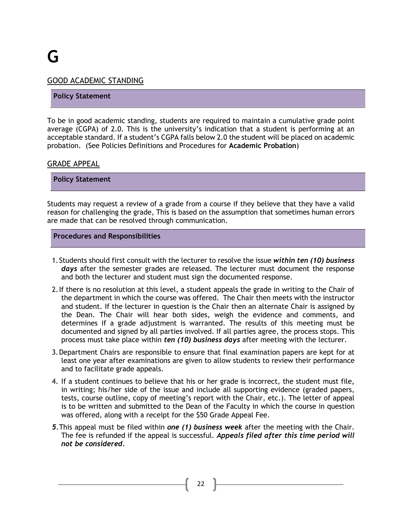#### <span id="page-21-0"></span>GOOD ACADEMIC STANDING

#### **Policy Statement**

To be in good academic standing, students are required to maintain a cumulative grade point average (CGPA) of 2.0. This is the university's indication that a student is performing at an acceptable standard. If a student's CGPA falls below 2.0 the student will be placed on academic probation. (See Policies Definitions and Procedures for **Academic Probation**)

#### <span id="page-21-1"></span>GRADE APPEAL

**Policy Statement**

Students may request a review of a grade from a course if they believe that they have a valid reason for challenging the grade, This is based on the assumption that sometimes human errors are made that can be resolved through communication.

#### **Procedures and Responsibilities**

- 1.Students should first consult with the lecturer to resolve the issue *within ten (10) business days* after the semester grades are released. The lecturer must document the response and both the lecturer and student must sign the documented response.
- 2.If there is no resolution at this level, a student appeals the grade in writing to the Chair of the department in which the course was offered. The Chair then meets with the instructor and student. If the lecturer in question is the Chair then an alternate Chair is assigned by the Dean. The Chair will hear both sides, weigh the evidence and comments, and determines if a grade adjustment is warranted. The results of this meeting must be documented and signed by all parties involved. If all parties agree, the process stops. This process must take place within *ten (10) business days* after meeting with the lecturer.
- 3.Department Chairs are responsible to ensure that final examination papers are kept for at least one year after examinations are given to allow students to review their performance and to facilitate grade appeals.
- 4. If a student continues to believe that his or her grade is incorrect, the student must file, in writing; his/her side of the issue and include all supporting evidence (graded papers, tests, course outline, copy of meeting's report with the Chair, etc.). The letter of appeal is to be written and submitted to the Dean of the Faculty in which the course in question was offered, along with a receipt for the \$50 Grade Appeal Fee.
- *5.*This appeal must be filed within *one (1) business week* after the meeting with the Chair. The fee is refunded if the appeal is successful. *Appeals filed after this time period will not be considered.*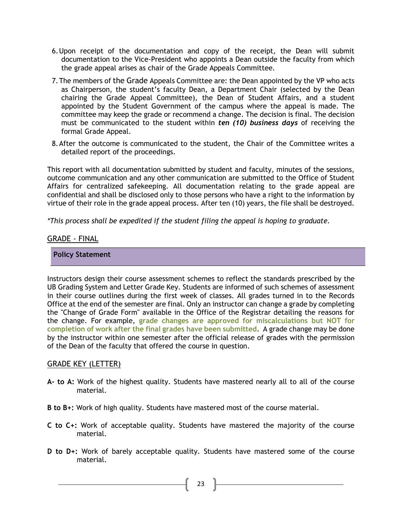- 6.Upon receipt of the documentation and copy of the receipt, the Dean will submit documentation to the Vice-President who appoints a Dean outside the faculty from which the grade appeal arises as chair of the Grade Appeals Committee.
- 7.The members of the Grade Appeals Committee are: the Dean appointed by the VP who acts as Chairperson, the student's faculty Dean, a Department Chair (selected by the Dean chairing the Grade Appeal Committee), the Dean of Student Affairs, and a student appointed by the Student Government of the campus where the appeal is made. The committee may keep the grade or recommend a change. The decision is final. The decision must be communicated to the student within *ten (10) business days* of receiving the formal Grade Appeal.
- 8.After the outcome is communicated to the student, the Chair of the Committee writes a detailed report of the proceedings.

This report with all documentation submitted by student and faculty, minutes of the sessions, outcome communication and any other communication are submitted to the Office of Student Affairs for centralized safekeeping. All documentation relating to the grade appeal are confidential and shall be disclosed only to those persons who have a right to the information by virtue of their role in the grade appeal process. After ten (10) years, the file shall be destroyed.

*\*This process shall be expedited if the student filing the appeal is hoping to graduate.*

#### <span id="page-22-0"></span>GRADE - FINAL

#### **Policy Statement**

Instructors design their course assessment schemes to reflect the standards prescribed by the UB Grading System and Letter Grade Key. Students are informed of such schemes of assessment in their course outlines during the first week of classes. All grades turned in to the Records Office at the end of the semester are final. Only an instructor can change a grade by completing the "Change of Grade Form" available in the Office of the Registrar detailing the reasons for the change. For example, **grade changes are approved for miscalculations but NOT for completion of work after the final grades have been submitted**. A grade change may be done by the instructor within one semester after the official release of grades with the permission of the Dean of the faculty that offered the course in question.

#### <span id="page-22-1"></span>GRADE KEY (LETTER)

- **A- to A:** Work of the highest quality. Students have mastered nearly all to all of the course material.
- **B to B+:** Work of high quality. Students have mastered most of the course material.
- **C to C+:** Work of acceptable quality. Students have mastered the majority of the course material.
- **D to D+:** Work of barely acceptable quality. Students have mastered some of the course material.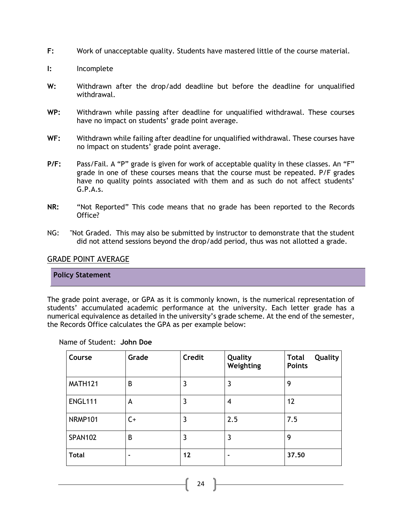- **F:** Work of unacceptable quality. Students have mastered little of the course material.
- **I:** Incomplete
- **W:** Withdrawn after the drop/add deadline but before the deadline for unqualified withdrawal.
- **WP:** Withdrawn while passing after deadline for unqualified withdrawal. These courses have no impact on students' grade point average.
- **WF:** Withdrawn while failing after deadline for unqualified withdrawal. These courses have no impact on students' grade point average.
- **P/F:** Pass/Fail. A "P" grade is given for work of acceptable quality in these classes. An "F" grade in one of these courses means that the course must be repeated. P/F grades have no quality points associated with them and as such do not affect students' G.P.A.s.
- **NR:** "Not Reported" This code means that no grade has been reported to the Records Office?
- NG: "Not Graded. This may also be submitted by instructor to demonstrate that the student did not attend sessions beyond the drop/add period, thus was not allotted a grade.

#### <span id="page-23-0"></span>GRADE POINT AVERAGE

#### **Policy Statement**

The grade point average, or GPA as it is commonly known, is the numerical representation of students' accumulated academic performance at the university. Each letter grade has a numerical equivalence as detailed in the university's grade scheme. At the end of the semester, the Records Office calculates the GPA as per example below:

|  |  | Name of Student: John Doe |
|--|--|---------------------------|
|--|--|---------------------------|

| Course         | Grade | <b>Credit</b> | Quality<br>Weighting | Quality<br><b>Total</b><br><b>Points</b> |
|----------------|-------|---------------|----------------------|------------------------------------------|
| MATH121        | B     | 3             | 3                    | 9                                        |
| <b>ENGL111</b> | A     | 3             | 4                    | 12                                       |
| <b>NRMP101</b> | $C+$  | 3             | 2.5                  | 7.5                                      |
| <b>SPAN102</b> | B     | 3             | 3                    | 9                                        |
| <b>Total</b>   | ۰     | 12            |                      | 37.50                                    |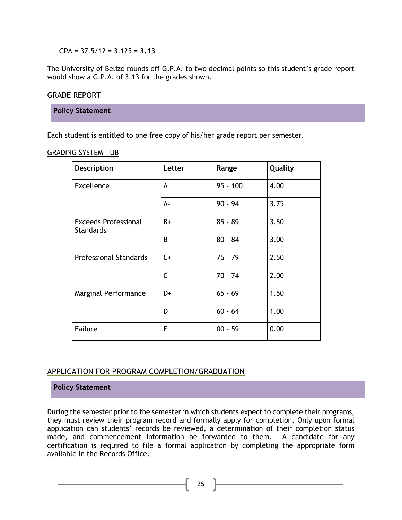GPA = 37.5/12 = 3.125 = **3.13**

The University of Belize rounds off G.P.A. to two decimal points so this student's grade report would show a G.P.A. of 3.13 for the grades shown.

#### <span id="page-24-0"></span>GRADE REPORT

**Policy Statement**

Each student is entitled to one free copy of his/her grade report per semester.

<span id="page-24-1"></span>GRADING SYSTEM – UB

| Description                                     | Letter | Range      | Quality |
|-------------------------------------------------|--------|------------|---------|
| <b>Excellence</b>                               | A      | $95 - 100$ | 4.00    |
|                                                 | А-     | $90 - 94$  | 3.75    |
| <b>Exceeds Professional</b><br><b>Standards</b> | $B+$   | $85 - 89$  | 3.50    |
|                                                 | B      | $80 - 84$  | 3.00    |
| <b>Professional Standards</b>                   | $C+$   | $75 - 79$  | 2.50    |
|                                                 | C      | $70 - 74$  | 2.00    |
| Marginal Performance                            | D+     | $65 - 69$  | 1.50    |
|                                                 | D      | $60 - 64$  | 1.00    |
| Failure                                         | F      | $00 - 59$  | 0.00    |

#### <span id="page-24-2"></span>APPLICATION FOR PROGRAM COMPLETION/GRADUATION

#### **Policy Statement**

During the semester prior to the semester in which students expect to complete their programs, they must review their program record and formally apply for completion. Only upon formal application can students' records be reviewed, a determination of their completion status made, and commencement information be forwarded to them. A candidate for any certification is required to file a formal application by completing the appropriate form available in the Records Office.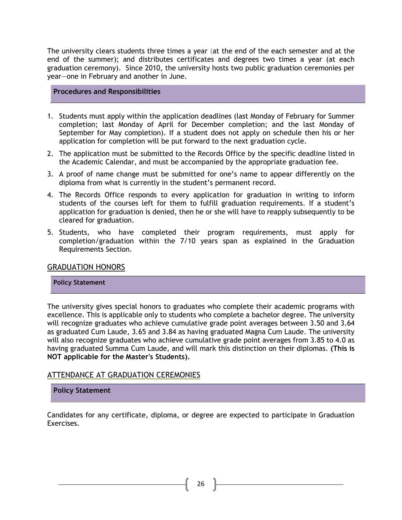The university clears students three times a year (at the end of the each semester and at the end of the summer); and distributes certificates and degrees two times a year (at each graduation ceremony). Since 2010, the university hosts two public graduation ceremonies per year—one in February and another in June.

#### **Procedures and Responsibilities**

- 1. Students must apply within the application deadlines (last Monday of February for Summer completion; last Monday of April for December completion; and the last Monday of September for May completion). If a student does not apply on schedule then his or her application for completion will be put forward to the next graduation cycle.
- 2. The application must be submitted to the Records Office by the specific deadline listed in the Academic Calendar, and must be accompanied by the appropriate graduation fee.
- 3. A proof of name change must be submitted for one's name to appear differently on the diploma from what is currently in the student's permanent record.
- 4. The Records Office responds to every application for graduation in writing to inform students of the courses left for them to fulfill graduation requirements. If a student's application for graduation is denied, then he or she will have to reapply subsequently to be cleared for graduation.
- 5. Students, who have completed their program requirements, must apply for completion/graduation within the 7/10 years span as explained in the Graduation Requirements Section.

#### <span id="page-25-0"></span>GRADUATION HONORS

#### **Policy Statement**

The university gives special honors to graduates who complete their academic programs with excellence. This is applicable only to students who complete a bachelor degree. The university will recognize graduates who achieve cumulative grade point averages between 3.50 and 3.64 as graduated Cum Laude, 3.65 and 3.84 as having graduated Magna Cum Laude. The university will also recognize graduates who achieve cumulative grade point averages from 3.85 to 4.0 as having graduated Summa Cum Laude, and will mark this distinction on their diplomas. **(This is NOT applicable for the Master's Students).**

#### <span id="page-25-1"></span>ATTENDANCE AT GRADUATION CEREMONIES

#### **Policy Statement**

Candidates for any certificate, diploma, or degree are expected to participate in Graduation Exercises.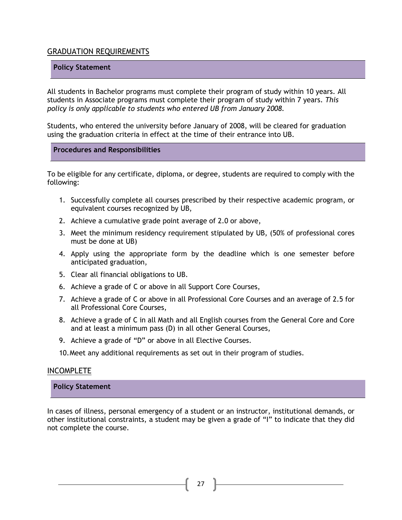#### <span id="page-26-0"></span>GRADUATION REQUIREMENTS

#### **Policy Statement**

All students in Bachelor programs must complete their program of study within 10 years. All students in Associate programs must complete their program of study within 7 years. *This policy is only applicable to students who entered UB from January 2008.*

Students, who entered the university before January of 2008, will be cleared for graduation using the graduation criteria in effect at the time of their entrance into UB.

#### **Procedures and Responsibilities**

To be eligible for any certificate, diploma, or degree, students are required to comply with the following:

- 1. Successfully complete all courses prescribed by their respective academic program, or equivalent courses recognized by UB,
- 2. Achieve a cumulative grade point average of 2.0 or above,
- 3. Meet the minimum residency requirement stipulated by UB, (50% of professional cores must be done at UB)
- 4. Apply using the appropriate form by the deadline which is one semester before anticipated graduation,
- 5. Clear all financial obligations to UB.
- 6. Achieve a grade of C or above in all Support Core Courses,
- 7. Achieve a grade of C or above in all Professional Core Courses and an average of 2.5 for all Professional Core Courses,
- 8. Achieve a grade of C in all Math and all English courses from the General Core and Core and at least a minimum pass (D) in all other General Courses,
- 9. Achieve a grade of "D" or above in all Elective Courses.
- 10.Meet any additional requirements as set out in their program of studies.

#### INCOMPLETE

#### **Policy Statement**

In cases of illness, personal emergency of a student or an instructor, institutional demands, or other institutional constraints, a student may be given a grade of "I" to indicate that they did not complete the course.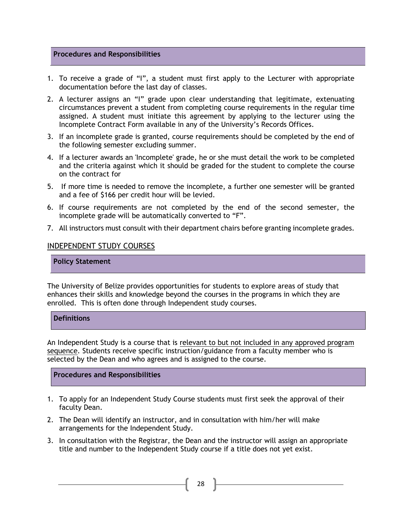#### **Procedures and Responsibilities**

- 1. To receive a grade of "I", a student must first apply to the Lecturer with appropriate documentation before the last day of classes.
- 2. A lecturer assigns an "I" grade upon clear understanding that legitimate, extenuating circumstances prevent a student from completing course requirements in the regular time assigned. A student must initiate this agreement by applying to the lecturer using the Incomplete Contract Form available in any of the University's Records Offices.
- 3. If an incomplete grade is granted, course requirements should be completed by the end of the following semester excluding summer.
- 4. If a lecturer awards an 'Incomplete' grade, he or she must detail the work to be completed and the criteria against which it should be graded for the student to complete the course on the contract for
- 5. If more time is needed to remove the incomplete, a further one semester will be granted and a fee of \$166 per credit hour will be levied.
- 6. If course requirements are not completed by the end of the second semester, the incomplete grade will be automatically converted to "F".
- 7. All instructors must consult with their department chairs before granting incomplete grades.

#### <span id="page-27-0"></span>INDEPENDENT STUDY COURSES

#### **Policy Statement**

The University of Belize provides opportunities for students to explore areas of study that enhances their skills and knowledge beyond the courses in the programs in which they are enrolled. This is often done through Independent study courses.

#### **Definitions**

An Independent Study is a course that is relevant to but not included in any approved program sequence. Students receive specific instruction/guidance from a faculty member who is selected by the Dean and who agrees and is assigned to the course.

- 1. To apply for an Independent Study Course students must first seek the approval of their faculty Dean.
- 2. The Dean will identify an instructor, and in consultation with him/her will make arrangements for the Independent Study.
- 3. In consultation with the Registrar, the Dean and the instructor will assign an appropriate title and number to the Independent Study course if a title does not yet exist.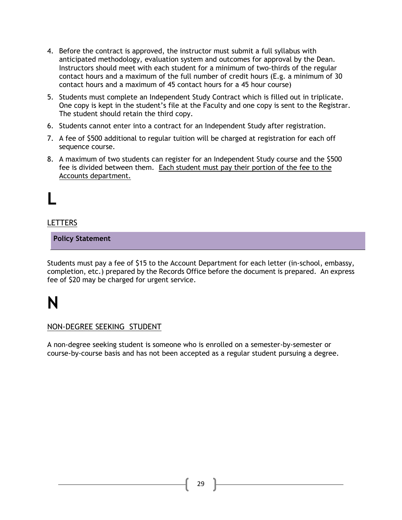- 4. Before the contract is approved, the instructor must submit a full syllabus with anticipated methodology, evaluation system and outcomes for approval by the Dean. Instructors should meet with each student for a minimum of two-thirds of the regular contact hours and a maximum of the full number of credit hours (E.g. a minimum of 30 contact hours and a maximum of 45 contact hours for a 45 hour course)
- 5. Students must complete an Independent Study Contract which is filled out in triplicate. One copy is kept in the student's file at the Faculty and one copy is sent to the Registrar. The student should retain the third copy.
- 6. Students cannot enter into a contract for an Independent Study after registration.
- 7. A fee of \$500 additional to regular tuition will be charged at registration for each off sequence course.
- 8. A maximum of two students can register for an Independent Study course and the \$500 fee is divided between them. Each student must pay their portion of the fee to the Accounts department.

## **L**

#### <span id="page-28-0"></span>LETTERS

**Policy Statement**

Students must pay a fee of \$15 to the Account Department for each letter (in-school, embassy, completion, etc.) prepared by the Records Office before the document is prepared. An express fee of \$20 may be charged for urgent service.

## **N**

#### NON-DEGREE SEEKING STUDENT

A non-degree seeking student is someone who is enrolled on a semester-by-semester or course-by-course basis and has not been accepted as a regular student pursuing a degree.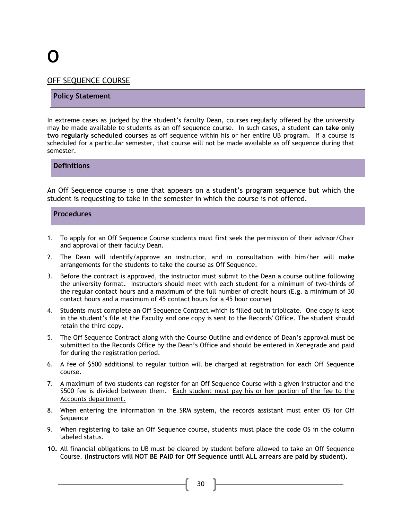# **O**

#### <span id="page-29-0"></span>OFF SEQUENCE COURSE

#### **Policy Statement**

In extreme cases as judged by the student's faculty Dean, courses regularly offered by the university may be made available to students as an off sequence course. In such cases, a student **can take only two regularly scheduled courses** as off sequence within his or her entire UB program. If a course is scheduled for a particular semester, that course will not be made available as off sequence during that semester.

**Definitions**

An Off Sequence course is one that appears on a student's program sequence but which the student is requesting to take in the semester in which the course is not offered.

#### **Procedures**

- 1. To apply for an Off Sequence Course students must first seek the permission of their advisor/Chair and approval of their faculty Dean.
- 2. The Dean will identify/approve an instructor, and in consultation with him/her will make arrangements for the students to take the course as Off Sequence.
- 3. Before the contract is approved, the instructor must submit to the Dean a course outline following the university format. Instructors should meet with each student for a minimum of two-thirds of the regular contact hours and a maximum of the full number of credit hours (E.g. a minimum of 30 contact hours and a maximum of 45 contact hours for a 45 hour course)
- 4. Students must complete an Off Sequence Contract which is filled out in triplicate. One copy is kept in the student's file at the Faculty and one copy is sent to the Records' Office. The student should retain the third copy.
- 5. The Off Sequence Contract along with the Course Outline and evidence of Dean's approval must be submitted to the Records Office by the Dean's Office and should be entered in Xenegrade and paid for during the registration period.
- 6. A fee of \$500 additional to regular tuition will be charged at registration for each Off Sequence course.
- 7. A maximum of two students can register for an Off Sequence Course with a given instructor and the \$500 fee is divided between them. Each student must pay his or her portion of the fee to the Accounts department.
- 8. When entering the information in the SRM system, the records assistant must enter OS for Off Sequence
- 9. When registering to take an Off Sequence course, students must place the code OS in the column labeled status.
- **10.** All financial obligations to UB must be cleared by student before allowed to take an Off Sequence Course. **(Instructors will NOT BE PAID for Off Sequence until ALL arrears are paid by student).**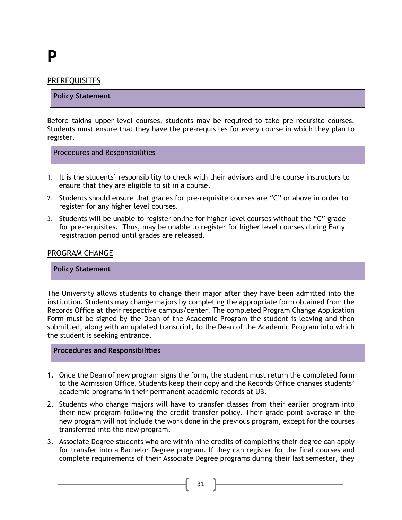## **P**

#### <span id="page-30-0"></span>PREREQUISITES

#### **Policy Statement**

Before taking upper level courses, students may be required to take pre-requisite courses. Students must ensure that they have the pre-requisites for every course in which they plan to register.

Procedures and Responsibilities

- 1. It is the students' responsibility to check with their advisors and the course instructors to ensure that they are eligible to sit in a course.
- 2. Students should ensure that grades for pre-requisite courses are "C" or above in order to register for any higher level courses.
- 3. Students will be unable to register online for higher level courses without the "C" grade for pre-requisites. Thus, may be unable to register for higher level courses during Early registration period until grades are released.

#### <span id="page-30-1"></span>PROGRAM CHANGE

#### **Policy Statement**

The University allows students to change their major after they have been admitted into the institution. Students may change majors by completing the appropriate form obtained from the Records Office at their respective campus/center. The completed Program Change Application Form must be signed by the Dean of the Academic Program the student is leaving and then submitted, along with an updated transcript, to the Dean of the Academic Program into which the student is seeking entrance.

- 1. Once the Dean of new program signs the form, the student must return the completed form to the Admission Office. Students keep their copy and the Records Office changes students' academic programs in their permanent academic records at UB.
- 2. Students who change majors will have to transfer classes from their earlier program into their new program following the credit transfer policy. Their grade point average in the new program will not include the work done in the previous program, except for the courses transferred into the new program.
- 3. Associate Degree students who are within nine credits of completing their degree can apply for transfer into a Bachelor Degree program. If they can register for the final courses and complete requirements of their Associate Degree programs during their last semester, they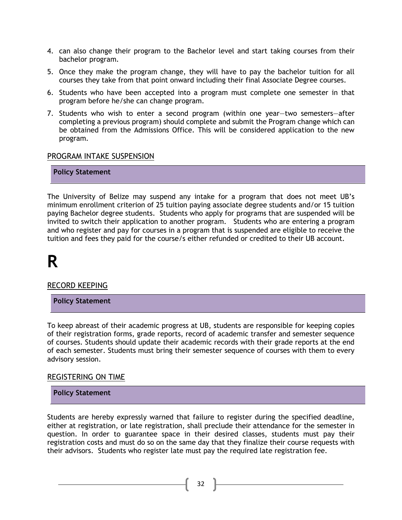- 4. can also change their program to the Bachelor level and start taking courses from their bachelor program.
- 5. Once they make the program change, they will have to pay the bachelor tuition for all courses they take from that point onward including their final Associate Degree courses.
- 6. Students who have been accepted into a program must complete one semester in that program before he/she can change program.
- 7. Students who wish to enter a second program (within one year—two semesters—after completing a previous program) should complete and submit the Program change which can be obtained from the Admissions Office. This will be considered application to the new program.

#### <span id="page-31-0"></span>PROGRAM INTAKE SUSPENSION

**Policy Statement**

The University of Belize may suspend any intake for a program that does not meet UB's minimum enrollment criterion of 25 tuition paying associate degree students and/or 15 tuition paying Bachelor degree students. Students who apply for programs that are suspended will be invited to switch their application to another program. Students who are entering a program and who register and pay for courses in a program that is suspended are eligible to receive the tuition and fees they paid for the course/s either refunded or credited to their UB account.

### **R**

<span id="page-31-1"></span>RECORD KEEPING

**Policy Statement**

To keep abreast of their academic progress at UB, students are responsible for keeping copies of their registration forms, grade reports, record of academic transfer and semester sequence of courses. Students should update their academic records with their grade reports at the end of each semester. Students must bring their semester sequence of courses with them to every advisory session.

#### <span id="page-31-2"></span>REGISTERING ON TIME

#### **Policy Statement**

Students are hereby expressly warned that failure to register during the specified deadline, either at registration, or late registration, shall preclude their attendance for the semester in question. In order to guarantee space in their desired classes, students must pay their registration costs and must do so on the same day that they finalize their course requests with their advisors. Students who register late must pay the required late registration fee.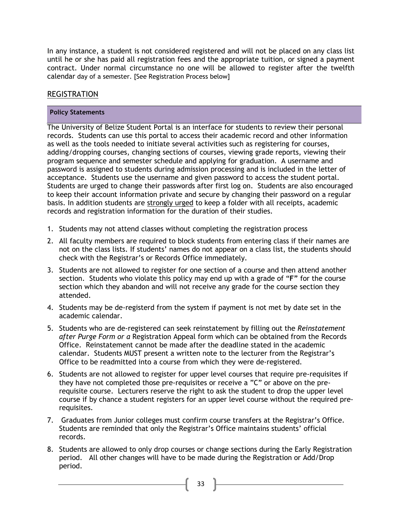In any instance, a student is not considered registered and will not be placed on any class list until he or she has paid all registration fees and the appropriate tuition, or signed a payment contract. Under normal circumstance no one will be allowed to register after the twelfth calendar day of a semester. [See Registration Process below]

#### <span id="page-32-0"></span>REGISTRATION

#### **Policy Statements**

The University of Belize Student Portal is an interface for students to review their personal records. Students can use this portal to access their academic record and other information as well as the tools needed to initiate several activities such as registering for courses, adding/dropping courses, changing sections of courses, viewing grade reports, viewing their program sequence and semester schedule and applying for graduation. A username and password is assigned to students during admission processing and is included in the letter of acceptance. Students use the username and given password to access the student portal. Students are urged to change their passwords after first log on. Students are also encouraged to keep their account information private and secure by changing their password on a regular basis. In addition students are strongly urged to keep a folder with all receipts, academic records and registration information for the duration of their studies.

- 1. Students may not attend classes without completing the registration process
- 2. All faculty members are required to block students from entering class if their names are not on the class lists. If students' names do not appear on a class list, the students should check with the Registrar's or Records Office immediately.
- 3. Students are not allowed to register for one section of a course and then attend another section. Students who violate this policy may end up with a grade of "**F"** for the course section which they abandon and will not receive any grade for the course section they attended.
- 4. Students may be de-registerd from the system if payment is not met by date set in the academic calendar.
- 5. Students who are de-registered can seek reinstatement by filling out the *Reinstatement after Purge Form or a* Registration Appeal form which can be obtained from the Records Office. Reinstatement cannot be made after the deadline stated in the academic calendar. Students MUST present a written note to the lecturer from the Registrar's Office to be readmitted into a course from which they were de-registered.
- 6. Students are not allowed to register for upper level courses that require pre-requisites if they have not completed those pre-requisites or receive a "C" or above on the prerequisite course. Lecturers reserve the right to ask the student to drop the upper level course if by chance a student registers for an upper level course without the required prerequisites.
- 7. Graduates from Junior colleges must confirm course transfers at the Registrar's Office. Students are reminded that only the Registrar's Office maintains students' official records.
- 8. Students are allowed to only drop courses or change sections during the Early Registration period. All other changes will have to be made during the Registration or Add/Drop period.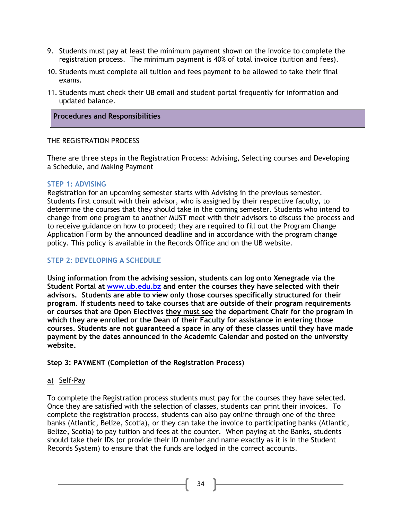- 9. Students must pay at least the minimum payment shown on the invoice to complete the registration process. The minimum payment is 40% of total invoice (tuition and fees).
- 10. Students must complete all tuition and fees payment to be allowed to take their final exams.
- 11. Students must check their UB email and student portal frequently for information and updated balance.

#### **Procedures and Responsibilities**

#### THE REGISTRATION PROCESS

There are three steps in the Registration Process: Advising, Selecting courses and Developing a Schedule, and Making Payment

#### **STEP 1: ADVISING**

Registration for an upcoming semester starts with Advising in the previous semester. Students first consult with their advisor, who is assigned by their respective faculty, to determine the courses that they should take in the coming semester. Students who intend to change from one program to another MUST meet with their advisors to discuss the process and to receive guidance on how to proceed; they are required to fill out the Program Change Application Form by the announced deadline and in accordance with the program change policy. This policy is available in the Records Office and on the UB website.

#### **STEP 2: DEVELOPING A SCHEDULE**

**Using information from the advising session, students can log onto Xenegrade via the Student Portal at [www.ub.edu.bz](http://www.ub.edu.bz/) and enter the courses they have selected with their advisors. Students are able to view only those courses specifically structured for their program. If students need to take courses that are outside of their program requirements or courses that are Open Electives they must see the department Chair for the program in which they are enrolled or the Dean of their Faculty for assistance in entering those courses. Students are not guaranteed a space in any of these classes until they have made payment by the dates announced in the Academic Calendar and posted on the university website.** 

#### **Step 3: PAYMENT (Completion of the Registration Process)**

#### a) Self-Pay

To complete the Registration process students must pay for the courses they have selected. Once they are satisfied with the selection of classes, students can print their invoices. To complete the registration process, students can also pay online through one of the three banks (Atlantic, Belize, Scotia), or they can take the invoice to participating banks (Atlantic, Belize, Scotia) to pay tuition and fees at the counter. When paying at the Banks, students should take their IDs (or provide their ID number and name exactly as it is in the Student Records System) to ensure that the funds are lodged in the correct accounts.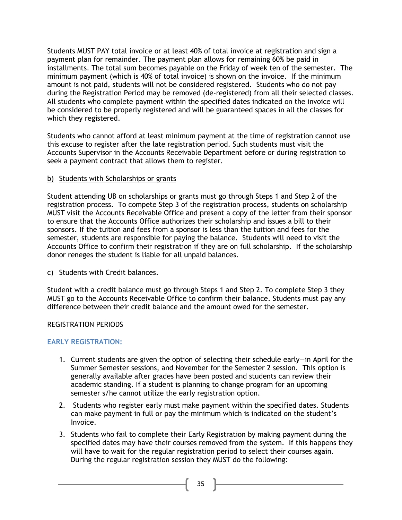Students MUST PAY total invoice or at least 40% of total invoice at registration and sign a payment plan for remainder. The payment plan allows for remaining 60% be paid in installments. The total sum becomes payable on the Friday of week ten of the semester. The minimum payment (which is 40% of total invoice) is shown on the invoice. If the minimum amount is not paid, students will not be considered registered. Students who do not pay during the Registration Period may be removed (de-registered) from all their selected classes. All students who complete payment within the specified dates indicated on the invoice will be considered to be properly registered and will be guaranteed spaces in all the classes for which they registered.

Students who cannot afford at least minimum payment at the time of registration cannot use this excuse to register after the late registration period. Such students must visit the Accounts Supervisor in the Accounts Receivable Department before or during registration to seek a payment contract that allows them to register.

#### b) Students with Scholarships or grants

Student attending UB on scholarships or grants must go through Steps 1 and Step 2 of the registration process. To compete Step 3 of the registration process, students on scholarship MUST visit the Accounts Receivable Office and present a copy of the letter from their sponsor to ensure that the Accounts Office authorizes their scholarship and issues a bill to their sponsors. If the tuition and fees from a sponsor is less than the tuition and fees for the semester, students are responsible for paying the balance. Students will need to visit the Accounts Office to confirm their registration if they are on full scholarship. If the scholarship donor reneges the student is liable for all unpaid balances.

#### c) Students with Credit balances.

Student with a credit balance must go through Steps 1 and Step 2. To complete Step 3 they MUST go to the Accounts Receivable Office to confirm their balance. Students must pay any difference between their credit balance and the amount owed for the semester.

#### REGISTRATION PERIODS

#### **EARLY REGISTRATION:**

- 1. Current students are given the option of selecting their schedule early—in April for the Summer Semester sessions, and November for the Semester 2 session. This option is generally available after grades have been posted and students can review their academic standing. If a student is planning to change program for an upcoming semester s/he cannot utilize the early registration option.
- 2. Students who register early must make payment within the specified dates. Students can make payment in full or pay the minimum which is indicated on the student's Invoice.
- 3. Students who fail to complete their Early Registration by making payment during the specified dates may have their courses removed from the system. If this happens they will have to wait for the regular registration period to select their courses again. During the regular registration session they MUST do the following: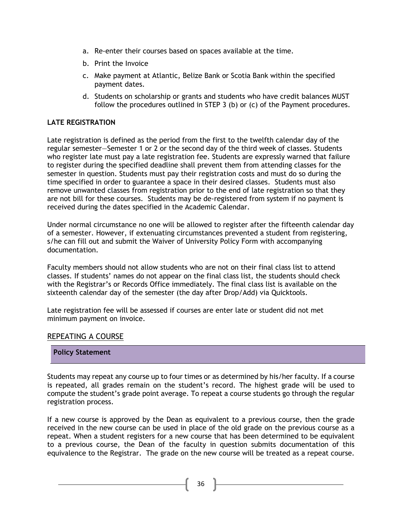- a. Re-enter their courses based on spaces available at the time.
- b. Print the Invoice
- c. Make payment at Atlantic, Belize Bank or Scotia Bank within the specified payment dates.
- d. Students on scholarship or grants and students who have credit balances MUST follow the procedures outlined in STEP 3 (b) or (c) of the Payment procedures.

#### **LATE REGISTRATION**

Late registration is defined as the period from the first to the twelfth calendar day of the regular semester—Semester 1 or 2 or the second day of the third week of classes. Students who register late must pay a late registration fee. Students are expressly warned that failure to register during the specified deadline shall prevent them from attending classes for the semester in question. Students must pay their registration costs and must do so during the time specified in order to guarantee a space in their desired classes. Students must also remove unwanted classes from registration prior to the end of late registration so that they are not bill for these courses. Students may be de-registered from system if no payment is received during the dates specified in the Academic Calendar.

Under normal circumstance no one will be allowed to register after the fifteenth calendar day of a semester. However, if extenuating circumstances prevented a student from registering, s/he can fill out and submit the Waiver of University Policy Form with accompanying documentation.

Faculty members should not allow students who are not on their final class list to attend classes. If students' names do not appear on the final class list, the students should check with the Registrar's or Records Office immediately. The final class list is available on the sixteenth calendar day of the semester (the day after Drop/Add) via Quicktools.

Late registration fee will be assessed if courses are enter late or student did not met minimum payment on invoice.

#### <span id="page-35-0"></span>REPEATING A COURSE

#### **Policy Statement**

Students may repeat any course up to four times or as determined by his/her faculty. If a course is repeated, all grades remain on the student's record. The highest grade will be used to compute the student's grade point average. To repeat a course students go through the regular registration process.

If a new course is approved by the Dean as equivalent to a previous course, then the grade received in the new course can be used in place of the old grade on the previous course as a repeat. When a student registers for a new course that has been determined to be equivalent to a previous course, the Dean of the faculty in question submits documentation of this equivalence to the Registrar. The grade on the new course will be treated as a repeat course.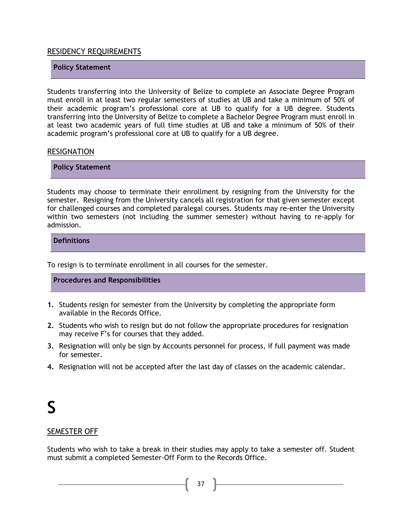#### <span id="page-36-0"></span>RESIDENCY REQUIREMENTS

#### **Policy Statement**

Students transferring into the University of Belize to complete an Associate Degree Program must enroll in at least two regular semesters of studies at UB and take a minimum of 50% of their academic program's professional core at UB to qualify for a UB degree. Students transferring into the University of Belize to complete a Bachelor Degree Program must enroll in at least two academic years of full time studies at UB and take a minimum of 50% of their academic program's professional core at UB to qualify for a UB degree.

#### <span id="page-36-1"></span>**RESIGNATION**

**Policy Statement**

Students may choose to terminate their enrollment by resigning from the University for the semester. Resigning from the University cancels all registration for that given semester except for challenged courses and completed paralegal courses. Students may re-enter the University within two semesters (not including the summer semester) without having to re-apply for admission.

**Definitions**

To resign is to terminate enrollment in all courses for the semester.

#### **Procedures and Responsibilities**

- **1.** Students resign for semester from the University by completing the appropriate form available in the Records Office.
- **2.** Students who wish to resign but do not follow the appropriate procedures for resignation may receive F's for courses that they added.
- **3.** Resignation will only be sign by Accounts personnel for process, if full payment was made for semester.
- **4.** Resignation will not be accepted after the last day of classes on the academic calendar.

### **S**

#### <span id="page-36-2"></span>SEMESTER OFF

Students who wish to take a break in their studies may apply to take a semester off. Student must submit a completed Semester-Off Form to the Records Office.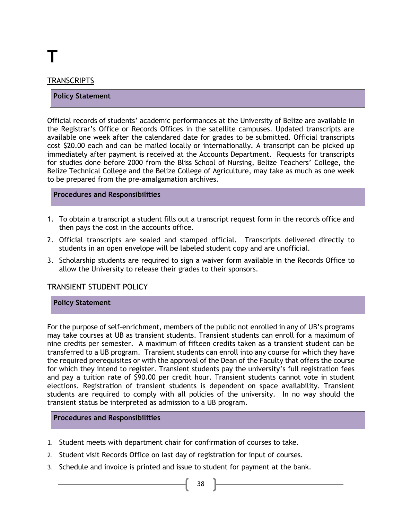# **T**

#### <span id="page-37-0"></span>TRANSCRIPTS

#### **Policy Statement**

Official records of students' academic performances at the University of Belize are available in the Registrar's Office or Records Offices in the satellite campuses. Updated transcripts are available one week after the calendared date for grades to be submitted. Official transcripts cost \$20.00 each and can be mailed locally or internationally. A transcript can be picked up immediately after payment is received at the Accounts Department. Requests for transcripts for studies done before 2000 from the Bliss School of Nursing, Belize Teachers' College, the Belize Technical College and the Belize College of Agriculture, may take as much as one week to be prepared from the pre-amalgamation archives.

#### **Procedures and Responsibilities**

- 1. To obtain a transcript a student fills out a transcript request form in the records office and then pays the cost in the accounts office.
- 2. Official transcripts are sealed and stamped official. Transcripts delivered directly to students in an open envelope will be labeled student copy and are unofficial.
- 3. Scholarship students are required to sign a waiver form available in the Records Office to allow the University to release their grades to their sponsors.

#### <span id="page-37-1"></span>TRANSIENT STUDENT POLICY

#### **Policy Statement**

For the purpose of self-enrichment, members of the public not enrolled in any of UB's programs may take courses at UB as transient students. Transient students can enroll for a maximum of nine credits per semester. A maximum of fifteen credits taken as a transient student can be transferred to a UB program. Transient students can enroll into any course for which they have the required prerequisites or with the approval of the Dean of the Faculty that offers the course for which they intend to register. Transient students pay the university's full registration fees and pay a tuition rate of \$90.00 per credit hour. Transient students cannot vote in student elections. Registration of transient students is dependent on space availability. Transient students are required to comply with all policies of the university. In no way should the transient status be interpreted as admission to a UB program.

- 1. Student meets with department chair for confirmation of courses to take.
- 2. Student visit Records Office on last day of registration for input of courses.
- 3. Schedule and invoice is printed and issue to student for payment at the bank.